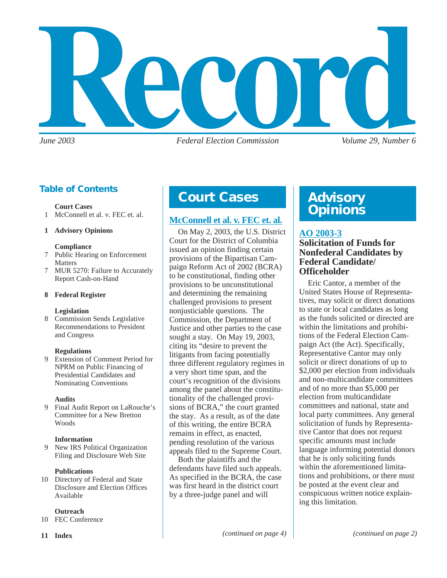

*June 2003 Federal Election Commission Volume 29, Number 6*

### **Table of Contents**

#### **Court Cases**

1 McConnell et al. v. FEC et. al.

#### **1 Advisory Opinions**

#### **Compliance**

- 7 Public Hearing on Enforcement Matters
- 7 MUR 5270: Failure to Accurately Report Cash-on-Hand

#### **8 Federal Register**

#### **Legislation**

8 Commission Sends Legislative Recommendations to President and Congress

#### **Regulations**

9 Extension of Comment Period for NPRM on Public Financing of Presidential Candidates and Nominating Conventions

#### **Audits**

9 Final Audit Report on LaRouche's Committee for a New Bretton **Woods** 

#### **Information**

9 New IRS Political Organization Filing and Disclosure Web Site

#### **Publications**

10 Directory of Federal and State Disclosure and Election Offices Available

#### **Outreach**

10 FEC Conference

### **Court Cases Advisory**

#### **[McConnell et al. v. FEC et. al.](http://www.fec.gov/pages/bcra/litigation.htm)**

On May 2, 2003, the U.S. District Court for the District of Columbia issued an opinion finding certain provisions of the Bipartisan Campaign Reform Act of 2002 (BCRA) to be constitutional, finding other provisions to be unconstitutional and determining the remaining challenged provisions to present nonjusticiable questions. The Commission, the Department of Justice and other parties to the case sought a stay. On May 19, 2003, citing its "desire to prevent the litigants from facing potentially three different regulatory regimes in a very short time span, and the court's recognition of the divisions among the panel about the constitutionality of the challenged provisions of BCRA," the court granted the stay. As a result, as of the date of this writing, the entire BCRA remains in effect, as enacted, pending resolution of the various appeals filed to the Supreme Court.

Both the plaintiffs and the defendants have filed such appeals. As specified in the BCRA, the case was first heard in the district court by a three-judge panel and will

# **Opinions**

#### **[AO 2003-3](http://saos.fec.gov/aodocs/2003-03.pdf)**

#### **Solicitation of Funds for Nonfederal Candidates by Federal Candidate/ Officeholder**

Eric Cantor, a member of the United States House of Representatives, may solicit or direct donations to state or local candidates as long as the funds solicited or directed are within the limitations and prohibitions of the Federal Election Campaign Act (the Act). Specifically, Representative Cantor may only solicit or direct donations of up to \$2,000 per election from individuals and non-multicandidate committees and of no more than \$5,000 per election from multicandidate committees and national, state and local party committees. Any general solicitation of funds by Representative Cantor that does not request specific amounts must include language informing potential donors that he is only soliciting funds within the aforementioned limitations and prohibitions, or there must be posted at the event clear and conspicuous written notice explaining this limitation.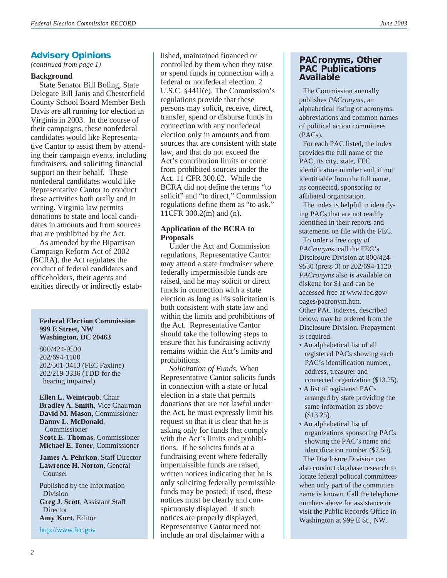#### **Advisory Opinions**

#### **Background**

State Senator Bill Boling, State Delegate Bill Janis and Chesterfield County School Board Member Beth Davis are all running for election in Virginia in 2003. In the course of their campaigns, these nonfederal candidates would like Representative Cantor to assist them by attending their campaign events, including fundraisers, and soliciting financial support on their behalf. These nonfederal candidates would like Representative Cantor to conduct these activities both orally and in writing. Virginia law permits donations to state and local candidates in amounts and from sources that are prohibited by the Act.

As amended by the Bipartisan Campaign Reform Act of 2002 (BCRA), the Act regulates the conduct of federal candidates and officeholders, their agents and entities directly or indirectly estab-

#### **Federal Election Commission 999 E Street, NW Washington, DC 20463**

800/424-9530 202/694-1100 202/501-3413 (FEC Faxline) 202/219-3336 (TDD for the hearing impaired)

**Ellen L. Weintraub**, Chair **Bradley A. Smith**, Vice Chairman **David M. Mason**, Commissioner **Danny L. McDonald**, Commissioner **Scott E. Thomas**, Commissioner **Michael E. Toner**, Commissioner

**James A. Pehrkon**, Staff Director **Lawrence H. Norton**, General Counsel

Published by the Information Division **Greg J. Scott**, Assistant Staff **Director Amy Kort**, Editor

<http://www.fec.gov>

lished, maintained financed or **PACRONISHIPS**<br>(*continued from page 1*) **PACRONIC SERVICE SERVICE SERVICE SERVICE SERVICE SERVICE SERVICE SERVICE SERVICE SERVICE SERVICE SERVICE SERVICE SERVICE SERVICE SERVICE SERVICE SERVICE SERVICE SERVICE SERVICE SER** or spend funds in connection with a federal or nonfederal election. 2 U.S.C. §441i(e). The Commission's regulations provide that these persons may solicit, receive, direct, transfer, spend or disburse funds in connection with any nonfederal election only in amounts and from sources that are consistent with state law, and that do not exceed the Act's contribution limits or come from prohibited sources under the Act. 11 CFR 300.62. While the BCRA did not define the terms "to solicit" and "to direct," Commission regulations define them as "to ask." 11CFR 300.2(m) and (n).

#### **Application of the BCRA to Proposals**

Under the Act and Commission regulations, Representative Cantor may attend a state fundraiser where federally impermissible funds are raised, and he may solicit or direct funds in connection with a state election as long as his solicitation is both consistent with state law and within the limits and prohibitions of the Act. Representative Cantor should take the following steps to ensure that his fundraising activity remains within the Act's limits and prohibitions.

*Solicitation of Funds.* When Representative Cantor solicits funds in connection with a state or local election in a state that permits donations that are not lawful under the Act, he must expressly limit his request so that it is clear that he is asking only for funds that comply with the Act's limits and prohibitions. If he solicits funds at a fundraising event where federally impermissible funds are raised, written notices indicating that he is only soliciting federally permissible funds may be posted; if used, these notices must be clearly and conspicuously displayed. If such notices are properly displayed, Representative Cantor need not include an oral disclaimer with a

### **PAC Publications Available**

The Commission annually publishes *PACronyms*, an alphabetical listing of acronyms, abbreviations and common names of political action committees (PACs).

 For each PAC listed, the index provides the full name of the PAC, its city, state, FEC identification number and, if not identifiable from the full name, its connected, sponsoring or affiliated organization.

 The index is helpful in identifying PACs that are not readily identified in their reports and statements on file with the FEC.

 To order a free copy of *PACronyms*, call the FEC's Disclosure Division at 800/424- 9530 (press 3) or 202/694-1120. *PACronyms* also is available on diskette for \$1 and can be accessed free at www.fec.gov/ pages/pacronym.htm. Other PAC indexes, described below, may be ordered from the Disclosure Division. Prepayment is required.

- An alphabetical list of all registered PACs showing each PAC's identification number, address, treasurer and connected organization (\$13.25).
- A list of registered PACs arranged by state providing the same information as above (\$13.25).
- An alphabetical list of organizations sponsoring PACs showing the PAC's name and identification number (\$7.50).

The Disclosure Division can also conduct database research to locate federal political committees when only part of the committee name is known. Call the telephone numbers above for assistance or visit the Public Records Office in Washington at 999 E St., NW.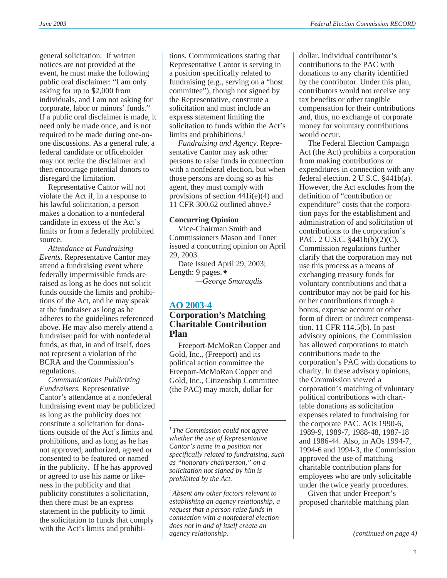general solicitation. If written notices are not provided at the event, he must make the following public oral disclaimer: "I am only asking for up to \$2,000 from individuals, and I am not asking for corporate, labor or minors' funds." If a public oral disclaimer is made, it need only be made once, and is not required to be made during one-onone discussions. As a general rule, a federal candidate or officeholder may not recite the disclaimer and then encourage potential donors to disregard the limitation.

Representative Cantor will not violate the Act if, in a response to his lawful solicitation, a person makes a donation to a nonfederal candidate in excess of the Act's limits or from a federally prohibited source.

*Attendance at Fundraising Events.* Representative Cantor may attend a fundraising event where federally impermissible funds are raised as long as he does not solicit funds outside the limits and prohibitions of the Act, and he may speak at the fundraiser as long as he adheres to the guidelines referenced above. He may also merely attend a fundraiser paid for with nonfederal funds, as that, in and of itself, does not represent a violation of the BCRA and the Commission's regulations.

*Communications Publicizing Fundraisers.* Representative Cantor's attendance at a nonfederal fundraising event may be publicized as long as the publicity does not constitute a solicitation for donations outside of the Act's limits and prohibitions, and as long as he has not approved, authorized, agreed or consented to be featured or named in the publicity. If he has approved or agreed to use his name or likeness in the publicity and that publicity constitutes a solicitation, then there must be an express statement in the publicity to limit the solicitation to funds that comply with the Act's limits and prohibitions. Communications stating that Representative Cantor is serving in a position specifically related to fundraising (e.g., serving on a "host committee"), though not signed by the Representative, constitute a solicitation and must include an express statement limiting the solicitation to funds within the Act's limits and prohibitions.<sup>1</sup>

*Fundraising and Agency.* Representative Cantor may ask other persons to raise funds in connection with a nonfederal election, but when those persons are doing so as his agent, they must comply with provisions of section  $441i(e)(4)$  and 11 CFR 300.62 outlined above.<sup>2</sup>

#### **Concurring Opinion**

Vice-Chairman Smith and Commissioners Mason and Toner issued a concurring opinion on April 29, 2003.

Date Issued April 29, 2003; Length: 9 pages.✦

*—George Smaragdis*

#### **[AO 2003-4](http://saos.fec.gov/aodocs/2003-04.pdf) Corporation's Matching Charitable Contribution Plan**

Freeport-McMoRan Copper and Gold, Inc., (Freeport) and its political action committee the Freeport-McMoRan Copper and Gold, Inc., Citizenship Committee (the PAC) may match, dollar for

*1 The Commission could not agree whether the use of Representative Cantor's name in a position not specifically related to fundraising, such as "honorary chairperson," on a solicitation not signed by him is prohibited by the Act.*

*2 Absent any other factors relevant to establishing an agency relationship, a request that a person raise funds in connection with a nonfederal election does not in and of itself create an agency relationship.*

dollar, individual contributor's contributions to the PAC with donations to any charity identified by the contributor. Under this plan, contributors would not receive any tax benefits or other tangible compensation for their contributions and, thus, no exchange of corporate money for voluntary contributions would occur.

The Federal Election Campaign Act (the Act) prohibits a corporation from making contributions or expenditures in connection with any federal election. 2 U.S.C. §441b(a). However, the Act excludes from the definition of "contribution or expenditure" costs that the corporation pays for the establishment and administration of and solicitation of contributions to the corporation's PAC. 2 U.S.C. §441b(b)(2)(C). Commission regulations further clarify that the corporation may not use this process as a means of exchanging treasury funds for voluntary contributions and that a contributor may not be paid for his or her contributions through a bonus, expense account or other form of direct or indirect compensation. 11 CFR 114.5(b). In past advisory opinions, the Commission has allowed corporations to match contributions made to the corporation's PAC with donations to charity. In these advisory opinions, the Commission viewed a corporation's matching of voluntary political contributions with charitable donations as solicitation expenses related to fundraising for the corporate PAC. AOs 1990-6, 1989-9, 1989-7, 1988-48, 1987-18 and 1986-44. Also, in AOs 1994-7, 1994-6 and 1994-3, the Commission approved the use of matching charitable contribution plans for employees who are only solicitable under the twice yearly procedures.

Given that under Freeport's proposed charitable matching plan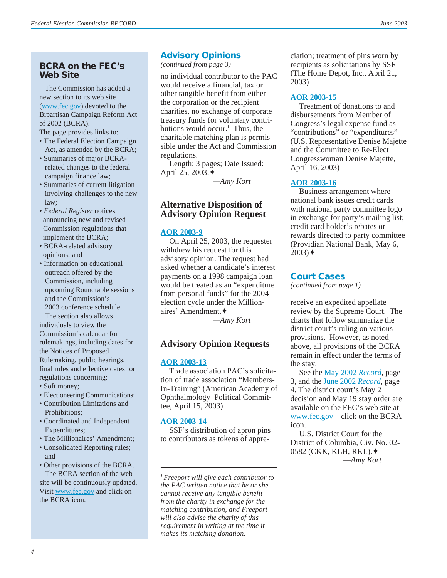#### **BCRA on the FEC's Web Site**

 The Commission has added a new section to its web site [\(www.fec.gov\)](http://www.fec.gov) devoted to the Bipartisan Campaign Reform Act of 2002 (BCRA).

The page provides links to:

- The Federal Election Campaign Act, as amended by the BCRA;
- Summaries of major BCRA related changes to the federal campaign finance law;
- Summaries of current litigation involving challenges to the new law;
- *Federal Register* notices announcing new and revised Commission regulations that implement the BCRA;
- BCRA-related advisory opinions; and
- Information on educational outreach offered by the Commission, including upcoming Roundtable sessions and the Commission's 2003 conference schedule.

 The section also allows individuals to view the Commission's calendar for rulemakings, including dates for the Notices of Proposed Rulemaking, public hearings, final rules and effective dates for regulations concerning:

- Soft money;
- Electioneering Communications;
- Contribution Limitations and Prohibitions;
- Coordinated and Independent Expenditures;
- The Millionaires' Amendment;
- Consolidated Reporting rules; and
- Other provisions of the BCRA. The BCRA section of the web site will be continuously updated. Visit [www.fec.gov](http://www.fec.gov) and click on the BCRA icon.

#### **Advisory Opinions**

*(continued from page 3)*

no individual contributor to the PAC would receive a financial, tax or other tangible benefit from either the corporation or the recipient charities, no exchange of corporate treasury funds for voluntary contributions would occur.<sup>1</sup> Thus, the charitable matching plan is permissible under the Act and Commission regulations.

Length: 3 pages; Date Issued: April 25, 2003.✦

*—Amy Kort*

#### **Alternative Disposition of Advisory Opinion Request**

#### **[AOR 2003-9](http://saos.fec.gov/saos/searchao)**

On April 25, 2003, the requester withdrew his request for this advisory opinion. The request had asked whether a candidate's interest payments on a 1998 campaign loan would be treated as an "expenditure from personal funds" for the 2004 election cycle under the Millionaires' Amendment.✦

*—Amy Kort*

#### **Advisory Opinion Requests**

#### **[AOR 2003-13](http://saos.fec.gov/saos/searchao)**

Trade association PAC's solicitation of trade association "Members-In-Training" (American Academy of Ophthalmology Political Committee, April 15, 2003)

#### **[AOR 2003-14](http://saos.fec.gov/saos/searchao)**

SSF's distribution of apron pins to contributors as tokens of appre-

*1 Freeport will give each contributor to the PAC written notice that he or she cannot receive any tangible benefit from the charity in exchange for the matching contribution, and Freeport will also advise the charity of this requirement in writing at the time it makes its matching donation.*

ciation; treatment of pins worn by recipients as solicitations by SSF (The Home Depot, Inc., April 21, 2003)

#### **[AOR 2003-15](http://saos.fec.gov/saos/searchao)**

Treatment of donations to and disbursements from Member of Congress's legal expense fund as "contributions" or "expenditures" (U.S. Representative Denise Majette and the Committee to Re-Elect Congresswoman Denise Majette, April 16, 2003)

#### **[AOR 2003-16](http://saos.fec.gov/saos/searchao)**

Business arrangement where national bank issues credit cards with national party committee logo in exchange for party's mailing list; credit card holder's rebates or rewards directed to party committee (Providian National Bank, May 6,  $2003)$  $\triangleleft$ 

#### **Court Cases**

*(continued from page 1)*

receive an expedited appellate review by the Supreme Court. The charts that follow summarize the district court's ruling on various provisions. However, as noted above, all provisions of the BCRA remain in effect under the terms of the stay.

See the [May 2002](http://www.fec.gov/pdf/may02.pdf) *Record*, page 3, and the [June 2002](http://www.fec.gov/pdf/jun02.pdf) *Record*, page 4. The district court's May 2 decision and May 19 stay order are available on the FEC's web site at [www.fec.gov](http://www.fec.gov)—click on the BCRA icon.

U.S. District Court for the District of Columbia, Civ. No. 02- 0582 (CKK, KLH, RKL).✦ —*Amy Kort*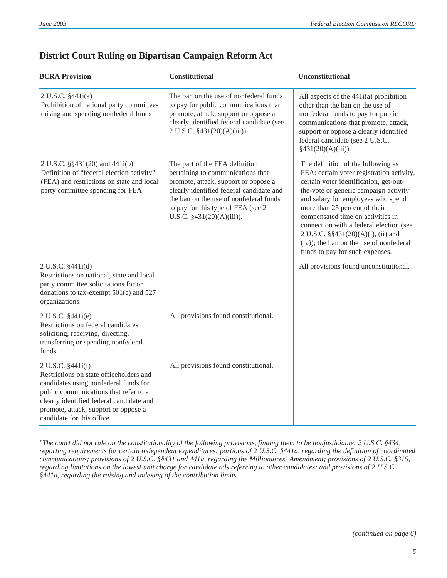| <b>BCRA Provision</b>                                                                                                                                                                                                                                           | Constitutional                                                                                                                                                                                                                                                        | Unconstitutional                                                                                                                                                                                                                                                                                                                                                                                                                              |
|-----------------------------------------------------------------------------------------------------------------------------------------------------------------------------------------------------------------------------------------------------------------|-----------------------------------------------------------------------------------------------------------------------------------------------------------------------------------------------------------------------------------------------------------------------|-----------------------------------------------------------------------------------------------------------------------------------------------------------------------------------------------------------------------------------------------------------------------------------------------------------------------------------------------------------------------------------------------------------------------------------------------|
| 2 U.S.C. §441i(a)<br>Prohibition of national party committees<br>raising and spending nonfederal funds                                                                                                                                                          | The ban on the use of nonfederal funds<br>to pay for public communications that<br>promote, attack, support or oppose a<br>clearly identified federal candidate (see<br>2 U.S.C. §431(20)(A)(iii)).                                                                   | All aspects of the $441i(a)$ prohibition<br>other than the ban on the use of<br>nonfederal funds to pay for public<br>communications that promote, attack,<br>support or oppose a clearly identified<br>federal candidate (see 2 U.S.C.<br>$§431(20)(A)(iii)$ ).                                                                                                                                                                              |
| 2 U.S.C. §§431(20) and 441i(b)<br>Definition of "federal election activity"<br>(FEA) and restrictions on state and local<br>party committee spending for FEA                                                                                                    | The part of the FEA definition<br>pertaining to communications that<br>promote, attack, support or oppose a<br>clearly identified federal candidate and<br>the ban on the use of nonfederal funds<br>to pay for this type of FEA (see 2)<br>U.S.C. §431(20)(A)(iii)). | The definition of the following as<br>FEA: certain voter registration activity,<br>certain voter identification, get-out-<br>the-vote or generic campaign activity<br>and salary for employees who spend<br>more than 25 percent of their<br>compensated time on activities in<br>connection with a federal election (see<br>2 U.S.C. §§431(20)(A)(i), (ii) and<br>(iv)); the ban on the use of nonfederal<br>funds to pay for such expenses. |
| 2 U.S.C. §441i(d)<br>Restrictions on national, state and local<br>party committee solicitations for or<br>donations to tax-exempt $501(c)$ and $527$<br>organizations                                                                                           |                                                                                                                                                                                                                                                                       | All provisions found unconstitutional.                                                                                                                                                                                                                                                                                                                                                                                                        |
| 2 U.S.C. §441i(e)<br>Restrictions on federal candidates<br>soliciting, receiving, directing,<br>transferring or spending nonfederal<br>funds                                                                                                                    | All provisions found constitutional.                                                                                                                                                                                                                                  |                                                                                                                                                                                                                                                                                                                                                                                                                                               |
| 2 U.S.C. §441i(f)<br>Restrictions on state officeholders and<br>candidates using nonfederal funds for<br>public communications that refer to a<br>clearly identified federal candidate and<br>promote, attack, support or oppose a<br>candidate for this office | All provisions found constitutional.                                                                                                                                                                                                                                  |                                                                                                                                                                                                                                                                                                                                                                                                                                               |

#### **District Court Ruling on Bipartisan Campaign Reform Act**

*\* The court did not rule on the constitutionality of the following provisions, finding them to be nonjusticiable: 2 U.S.C. §434, reporting requirements for certain independent expenditures; portions of 2 U.S.C. §441a, regarding the definition of coordinated communications; provisions of 2 U.S.C. §§431 and 441a, regarding the Millionaires' Amendment; provisions of 2 U.S.C. §315, regarding limitations on the lowest unit charge for candidate ads referring to other candidates; and provisions of 2 U.S.C. §441a, regarding the raising and indexing of the contribution limits.*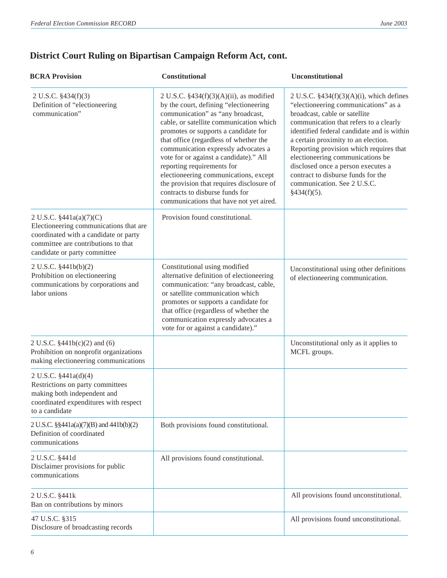### **District Court Ruling on Bipartisan Campaign Reform Act, cont.**

| <b>BCRA Provision</b>                                                                                                                                                             | Constitutional                                                                                                                                                                                                                                                                                                                                                                                                                                                                                                                            | Unconstitutional                                                                                                                                                                                                                                                                                                                                                                                                                                             |
|-----------------------------------------------------------------------------------------------------------------------------------------------------------------------------------|-------------------------------------------------------------------------------------------------------------------------------------------------------------------------------------------------------------------------------------------------------------------------------------------------------------------------------------------------------------------------------------------------------------------------------------------------------------------------------------------------------------------------------------------|--------------------------------------------------------------------------------------------------------------------------------------------------------------------------------------------------------------------------------------------------------------------------------------------------------------------------------------------------------------------------------------------------------------------------------------------------------------|
| 2 U.S.C. $$434(f)(3)$<br>Definition of "electioneering<br>communication"                                                                                                          | 2 U.S.C. $$434(f)(3)(A)(ii)$ , as modified<br>by the court, defining "electioneering<br>communication" as "any broadcast,<br>cable, or satellite communication which<br>promotes or supports a candidate for<br>that office (regardless of whether the<br>communication expressly advocates a<br>vote for or against a candidate)." All<br>reporting requirements for<br>electioneering communications, except<br>the provision that requires disclosure of<br>contracts to disburse funds for<br>communications that have not yet aired. | 2 U.S.C. $$434(f)(3)(A)(i)$ , which defines<br>"electioneering communications" as a<br>broadcast, cable or satellite<br>communication that refers to a clearly<br>identified federal candidate and is within<br>a certain proximity to an election.<br>Reporting provision which requires that<br>electioneering communications be<br>disclosed once a person executes a<br>contract to disburse funds for the<br>communication. See 2 U.S.C.<br>§434(f)(5). |
| 2 U.S.C. §441a(a)(7)(C)<br>Electioneering communications that are<br>coordinated with a candidate or party<br>committee are contributions to that<br>candidate or party committee | Provision found constitutional.                                                                                                                                                                                                                                                                                                                                                                                                                                                                                                           |                                                                                                                                                                                                                                                                                                                                                                                                                                                              |
| 2 U.S.C. §441b(b)(2)<br>Prohibition on electioneering<br>communications by corporations and<br>labor unions                                                                       | Constitutional using modified<br>alternative definition of electioneering<br>communication: "any broadcast, cable,<br>or satellite communication which<br>promotes or supports a candidate for<br>that office (regardless of whether the<br>communication expressly advocates a<br>vote for or against a candidate)."                                                                                                                                                                                                                     | Unconstitutional using other definitions<br>of electioneering communication.                                                                                                                                                                                                                                                                                                                                                                                 |
| 2 U.S.C. §441b(c)(2) and (6)<br>Prohibition on nonprofit organizations<br>making electioneering communications                                                                    |                                                                                                                                                                                                                                                                                                                                                                                                                                                                                                                                           | Unconstitutional only as it applies to<br>MCFL groups.                                                                                                                                                                                                                                                                                                                                                                                                       |
| 2 U.S.C. §441a(d)(4)<br>Restrictions on party committees<br>making both independent and<br>coordinated expenditures with respect<br>to a candidate                                |                                                                                                                                                                                                                                                                                                                                                                                                                                                                                                                                           |                                                                                                                                                                                                                                                                                                                                                                                                                                                              |
| 2 U.S.C. §§441a(a)(7)(B) and 441b(b)(2)<br>Definition of coordinated<br>communications                                                                                            | Both provisions found constitutional.                                                                                                                                                                                                                                                                                                                                                                                                                                                                                                     |                                                                                                                                                                                                                                                                                                                                                                                                                                                              |
| 2 U.S.C. §441d<br>Disclaimer provisions for public<br>communications                                                                                                              | All provisions found constitutional.                                                                                                                                                                                                                                                                                                                                                                                                                                                                                                      |                                                                                                                                                                                                                                                                                                                                                                                                                                                              |
| 2 U.S.C. §441k<br>Ban on contributions by minors                                                                                                                                  |                                                                                                                                                                                                                                                                                                                                                                                                                                                                                                                                           | All provisions found unconstitutional.                                                                                                                                                                                                                                                                                                                                                                                                                       |
| 47 U.S.C. §315<br>Disclosure of broadcasting records                                                                                                                              |                                                                                                                                                                                                                                                                                                                                                                                                                                                                                                                                           | All provisions found unconstitutional.                                                                                                                                                                                                                                                                                                                                                                                                                       |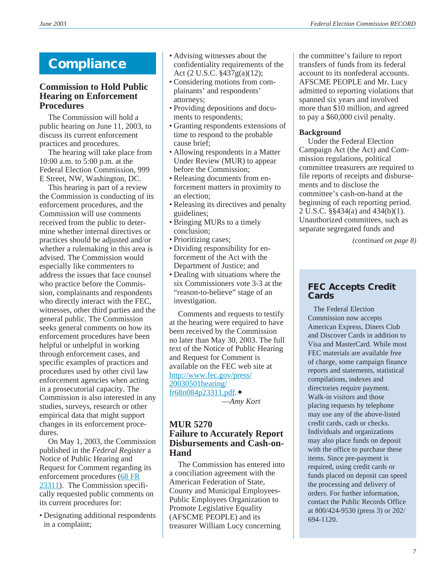#### **Commission to Hold Public Hearing on Enforcement Procedures**

The Commission will hold a public hearing on June 11, 2003, to discuss its current enforcement practices and procedures.

The hearing will take place from 10:00 a.m. to 5:00 p.m. at the Federal Election Commission, 999 E Street, NW, Washington, DC.

This hearing is part of a review the Commission is conducting of its enforcement procedures, and the Commission will use comments received from the public to determine whether internal directives or practices should be adjusted and/or whether a rulemaking in this area is advised. The Commission would especially like commenters to address the issues that face counsel who practice before the Commission, complainants and respondents who directly interact with the FEC, witnesses, other third parties and the general public. The Commission seeks general comments on how its enforcement procedures have been helpful or unhelpful in working through enforcement cases, and specific examples of practices and procedures used by other civil law enforcement agencies when acting in a prosecutorial capacity. The Commission is also interested in any studies, surveys, research or other empirical data that might support changes in its enforcement procedures.

On May 1, 2003, the Commission published in the *Federal Register* a Notice of Public Hearing and Request for Comment regarding its enforcement procedures [\(68 FR](http://www.fec.gov/press/20030501hearing/fr68n084p23311.pdf) [23311](http://www.fec.gov/press/20030501hearing/fr68n084p23311.pdf)). The Commission specifically requested public comments on its current procedures for:

• Designating additional respondents in a complaint;

- **Compliance** Advising witnesses about the **compliance** confidentiality requirements of the Act (2 U.S.C. §437g(a)(12);
	- Considering motions from complainants' and respondents' attorneys;
	- Providing depositions and documents to respondents;
	- Granting respondents extensions of time to respond to the probable cause brief;
	- Allowing respondents in a Matter Under Review (MUR) to appear before the Commission;
	- Releasing documents from enforcement matters in proximity to an election;
	- Releasing its directives and penalty guidelines;
	- Bringing MURs to a timely conclusion;
	- Prioritizing cases;
	- Dividing responsibility for enforcement of the Act with the Department of Justice; and
	- Dealing with situations where the six Commissioners vote 3-3 at the "reason-to-believe" stage of an investigation.

Comments and requests to testify at the hearing were required to have been received by the Commission no later than May 30, 2003. The full text of the Notice of Public Hearing and Request for Comment is available on the FEC web site at [http://www.fec.gov/press/](http://www.fec.gov/press/20030501hearing/fr68n084p23311.pdf) [20030501hearing/](http://www.fec.gov/press/20030501hearing/fr68n084p23311.pdf) [fr68n084p23311.pdf.](http://www.fec.gov/press/20030501hearing/fr68n084p23311.pdf)✦ —*Amy Kort*

**MUR 5270 Failure to Accurately Report Disbursements and Cash-on-Hand**

The Commission has entered into a conciliation agreement with the American Federation of State, County and Municipal Employees-Public Employees Organization to Promote Legislative Equality (AFSCME PEOPLE) and its treasurer William Lucy concerning

the committee's failure to report transfers of funds from its federal account to its nonfederal accounts. AFSCME PEOPLE and Mr. Lucy admitted to reporting violations that spanned six years and involved more than \$10 million, and agreed to pay a \$60,000 civil penalty.

#### **Background**

Under the Federal Election Campaign Act (the Act) and Commission regulations, political committee treasurers are required to file reports of receipts and disbursements and to disclose the committee's cash-on-hand at the beginning of each reporting period. 2 U.S.C. §§434(a) and 434(b)(1). Unauthorized committees, such as separate segregated funds and

*(continued on page 8)*

#### **FEC Accepts Credit Cards**

 The Federal Election Commission now accepts American Express, Diners Club and Discover Cards in addition to Visa and MasterCard. While most FEC materials are available free of charge, some campaign finance reports and statements, statistical compilations, indexes and directories require payment. Walk-in visitors and those placing requests by telephone may use any of the above-listed credit cards, cash or checks. Individuals and organizations may also place funds on deposit with the office to purchase these items. Since pre-payment is required, using credit cards or funds placed on deposit can speed the processing and delivery of orders. For further information, contact the Public Records Office at 800/424-9530 (press 3) or 202/ 694-1120.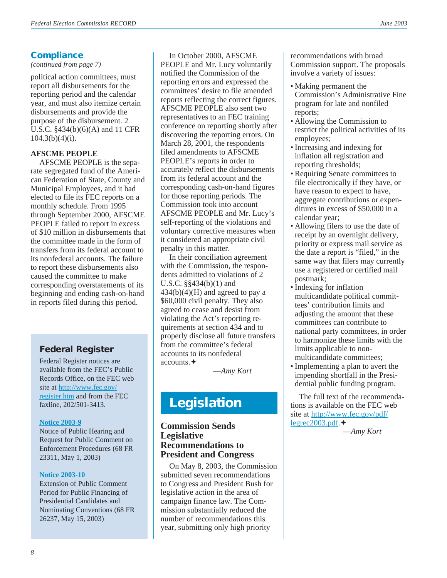#### **Compliance**

#### *(continued from page 7)*

political action committees, must report all disbursements for the reporting period and the calendar year, and must also itemize certain disbursements and provide the purpose of the disbursement. 2 U.S.C. §434(b)(6)(A) and 11 CFR  $104.3(b)(4)(i)$ .

#### **AFSCME PEOPLE**

AFSCME PEOPLE is the separate segregated fund of the American Federation of State, County and Municipal Employees, and it had elected to file its FEC reports on a monthly schedule. From 1995 through September 2000, AFSCME PEOPLE failed to report in excess of \$10 million in disbursements that the committee made in the form of transfers from its federal account to its nonfederal accounts. The failure to report these disbursements also caused the committee to make corresponding overstatements of its beginning and ending cash-on-hand in reports filed during this period.

#### **Federal Register**

Federal Register notices are available from the FEC's Public Records Office, on the FEC web site at [http://www.fec.gov/](http://www.fec.gov/register.htm) [register.htm](http://www.fec.gov/register.htm) and from the FEC faxline, 202/501-3413.

#### **[Notice 2003-9](http://www.fec.gov/press/20030501hearing/fr68n084p23311.pdf)**

Notice of Public Hearing and Request for Public Comment on Enforcement Procedures (68 FR 23311, May 1, 2003)

#### **[Notice 2003-10](http://www.fec.gov/pdf/nprm/public_financing/fr68n094p26237.pdf)**

Extension of Public Comment Period for Public Financing of Presidential Candidates and Nominating Conventions (68 FR 26237, May 15, 2003)

In October 2000, AFSCME PEOPLE and Mr. Lucy voluntarily notified the Commission of the reporting errors and expressed the committees' desire to file amended reports reflecting the correct figures. AFSCME PEOPLE also sent two representatives to an FEC training conference on reporting shortly after discovering the reporting errors. On March 28, 2001, the respondents filed amendments to AFSCME PEOPLE's reports in order to accurately reflect the disbursements from its federal account and the corresponding cash-on-hand figures for those reporting periods. The Commission took into account AFSCME PEOPLE and Mr. Lucy's self-reporting of the violations and voluntary corrective measures when it considered an appropriate civil penalty in this matter.

In their conciliation agreement with the Commission, the respondents admitted to violations of 2 U.S.C. §§434(b)(1) and  $434(b)(4)(H)$  and agreed to pay a \$60,000 civil penalty. They also agreed to cease and desist from violating the Act's reporting requirements at section 434 and to properly disclose all future transfers from the committee's federal accounts to its nonfederal accounts.✦

—*Amy Kort*

### **Legislation**

#### **Commission Sends Legislative Recommendations to President and Congress**

On May 8, 2003, the Commission submitted seven recommendations to Congress and President Bush for legislative action in the area of campaign finance law. The Commission substantially reduced the number of recommendations this year, submitting only high priority

recommendations with broad Commission support. The proposals involve a variety of issues:

- Making permanent the Commission's Administrative Fine program for late and nonfiled reports;
- Allowing the Commission to restrict the political activities of its employees;
- Increasing and indexing for inflation all registration and reporting thresholds;
- Requiring Senate committees to file electronically if they have, or have reason to expect to have, aggregate contributions or expenditures in excess of \$50,000 in a calendar year;
- Allowing filers to use the date of receipt by an overnight delivery, priority or express mail service as the date a report is "filed," in the same way that filers may currently use a registered or certified mail postmark;
- Indexing for inflation multicandidate political committees' contribution limits and adjusting the amount that these committees can contribute to national party committees, in order to harmonize these limits with the limits applicable to nonmulticandidate committees;
- Implementing a plan to avert the impending shortfall in the Presidential public funding program.

The full text of the recommendations is available on the FEC web site at [http://www.fec.gov/pdf/](http://www.fec.gov/pdf/legrec2003.pdf) legrec $2003$ .pdf. $\triangleleft$ 

—*Amy Kort*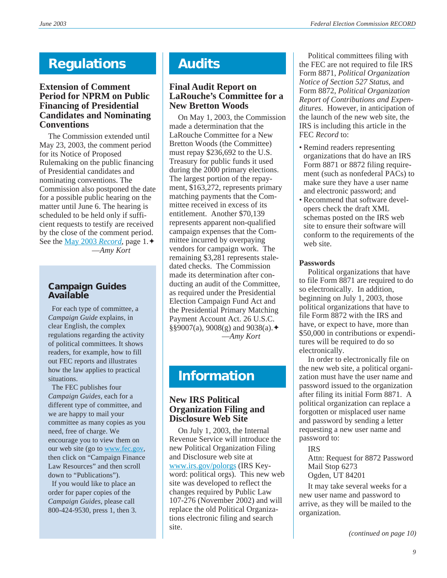### **Regulations**

#### **Extension of Comment Period for NPRM on Public Financing of Presidential Candidates and Nominating Conventions**

The Commission extended until May 23, 2003, the comment period for its Notice of Proposed Rulemaking on the public financing of Presidential candidates and nominating conventions. The Commission also postponed the date for a possible public hearing on the matter until June 6. The hearing is scheduled to be held only if sufficient requests to testify are received by the close of the comment period. See the [May 2003](http://www.fec.gov/pdf/may03.pdf) *Record*, page 1.✦ —*Amy Kort*

#### **Campaign Guides Available**

 For each type of committee, a *Campaign Guide* explains, in clear English, the complex regulations regarding the activity of political committees. It shows readers, for example, how to fill out FEC reports and illustrates how the law applies to practical situations.

 The FEC publishes four *Campaign Guides,* each for a different type of committee, and we are happy to mail your committee as many copies as you need, free of charge. We encourage you to view them on our web site (go to [www.fec.gov,](http://www.fec.gov) then click on "Campaign Finance Law Resources" and then scroll down to "Publications").

 If you would like to place an order for paper copies of the *Campaign Guides*, please call 800-424-9530, press 1, then 3.

## **Audits**

#### **Final Audit Report on LaRouche's Committee for a New Bretton Woods**

On May 1, 2003, the Commission made a determination that the LaRouche Committee for a New Bretton Woods (the Committee) must repay \$236,692 to the U.S. Treasury for public funds it used during the 2000 primary elections. The largest portion of the repayment, \$163,272, represents primary matching payments that the Committee received in excess of its entitlement. Another \$70,139 represents apparent non-qualified campaign expenses that the Committee incurred by overpaying vendors for campaign work. The remaining \$3,281 represents staledated checks. The Commission made its determination after conducting an audit of the Committee, as required under the Presidential Election Campaign Fund Act and the Presidential Primary Matching Payment Account Act. 26 U.S.C. §§9007(a), 9008(g) and 9038(a).  $\triangleq$ —*Amy Kort*

### **Information**

#### **New IRS Political Organization Filing and Disclosure Web Site**

On July 1, 2003, the Internal Revenue Service will introduce the new Political Organization Filing and Disclosure web site at [www.irs.gov/polorgs](http://www.irs.gov/polorgs) (IRS Keyword: political orgs). This new web site was developed to reflect the changes required by Public Law 107-276 (November 2002) and will replace the old Political Organizations electronic filing and search site.

Political committees filing with the FEC are not required to file IRS Form 8871, *Political Organization Notice of Section 527 Status*, and Form 8872, *Political Organization Report of Contributions and Expenditures*. However, in anticipation of the launch of the new web site, the IRS is including this article in the FEC *Record* to:

- Remind readers representing organizations that do have an IRS Form 8871 or 8872 filing requirement (such as nonfederal PACs) to make sure they have a user name and electronic password; and
- Recommend that software developers check the draft XML schemas posted on the IRS web site to ensure their software will conform to the requirements of the web site.

#### **Passwords**

Political organizations that have to file Form 8871 are required to do so electronically. In addition, beginning on July 1, 2003, those political organizations that have to file Form 8872 with the IRS and have, or expect to have, more than \$50,000 in contributions or expenditures will be required to do so electronically.

In order to electronically file on the new web site, a political organization must have the user name and password issued to the organization after filing its initial Form 8871. A political organization can replace a forgotten or misplaced user name and password by sending a letter requesting a new user name and password to:

#### IRS

Attn: Request for 8872 Password Mail Stop 6273 Ogden, UT 84201

It may take several weeks for a new user name and password to arrive, as they will be mailed to the organization.

*(continued on page 10)*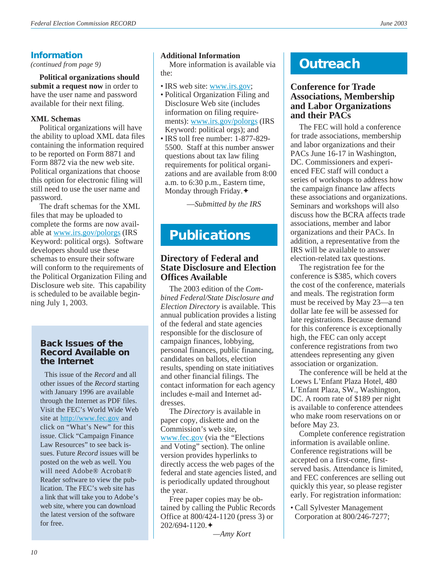#### **Information**

*(continued from page 9)*

**Political organizations should submit a request now** in order to have the user name and password available for their next filing.

#### **XML Schemas**

Political organizations will have the ability to upload XML data files containing the information required to be reported on Form 8871 and Form 8872 via the new web site. Political organizations that choose this option for electronic filing will still need to use the user name and password.

The draft schemas for the XML files that may be uploaded to complete the forms are now available at [www.irs.gov/polorgs](http://www.irs.gov/polorgs) (IRS Keyword: political orgs). Software developers should use these schemas to ensure their software will conform to the requirements of the Political Organization Filing and Disclosure web site. This capability is scheduled to be available beginning July 1, 2003.

#### **Back Issues of the Record Available on the Internet**

This issue of the *Record* and all other issues of the *Record* starting with January 1996 are available through the Internet as PDF files. Visit the FEC's World Wide Web site at <http://www.fec.gov> and click on "What's New" for this issue. Click "Campaign Finance Law Resources" to see back issues. Future *Record* issues will be posted on the web as well. You will need Adobe® Acrobat® Reader software to view the publication. The FEC's web site has a link that will take you to Adobe's web site, where you can download the latest version of the software for free.

#### **Additional Information**

More information is available via the:

- IRS web site: [www.irs.gov](http://www.irs.gov);
- Political Organization Filing and Disclosure Web site (includes information on filing requirements): [www.irs.gov/polorgs](http://www.irs.gov/polorgs) (IRS Keyword: political orgs); and
- IRS toll free number: 1-877-829- 5500. Staff at this number answer questions about tax law filing requirements for political organizations and are available from 8:00 a.m. to 6:30 p.m., Eastern time, Monday through Friday.✦

—*Submitted by the IRS*

### **Publications**

#### **Directory of Federal and State Disclosure and Election Offices Available**

The 2003 edition of the *Combined Federal/State Disclosure and Election Directory* is available. This annual publication provides a listing of the federal and state agencies responsible for the disclosure of campaign finances, lobbying, personal finances, public financing, candidates on ballots, election results, spending on state initiatives and other financial filings. The contact information for each agency includes e-mail and Internet addresses.

The *Directory* is available in paper copy, diskette and on the Commission's web site, [www.fec.gov](http://www.fec.gov) (via the "Elections and Voting" section). The online version provides hyperlinks to directly access the web pages of the federal and state agencies listed, and is periodically updated throughout the year.

Free paper copies may be obtained by calling the Public Records Office at 800/424-1120 (press 3) or 202/694-1120.✦

*—Amy Kort*

### **Outreach**

#### **Conference for Trade Associations, Membership and Labor Organizations and their PACs**

The FEC will hold a conference for trade associations, membership and labor organizations and their PACs June 16-17 in Washington, DC. Commissioners and experienced FEC staff will conduct a series of workshops to address how the campaign finance law affects these associations and organizations. Seminars and workshops will also discuss how the BCRA affects trade associations, member and labor organizations and their PACs. In addition, a representative from the IRS will be available to answer election-related tax questions.

The registration fee for the conference is \$385, which covers the cost of the conference, materials and meals. The registration form must be received by May 23—a ten dollar late fee will be assessed for late registrations. Because demand for this conference is exceptionally high, the FEC can only accept conference registrations from two attendees representing any given association or organization.

The conference will be held at the Loews L'Enfant Plaza Hotel, 480 L'Enfant Plaza, SW., Washington, DC. A room rate of \$189 per night is available to conference attendees who make room reservations on or before May 23.

Complete conference registration information is available online. Conference registrations will be accepted on a first-come, firstserved basis. Attendance is limited, and FEC conferences are selling out quickly this year, so please register early. For registration information:

• Call Sylvester Management Corporation at 800/246-7277;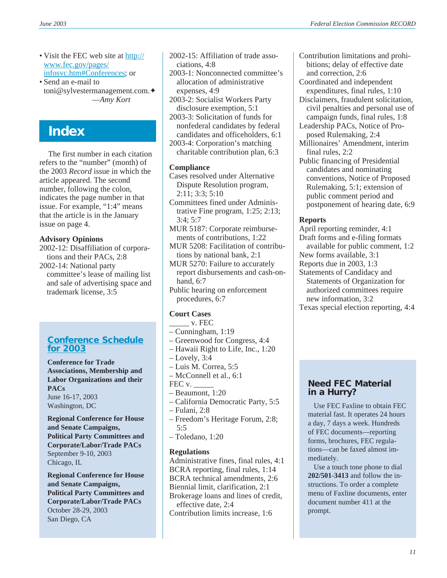- Visit the FEC web site at [http://](http://www.fec.gov/pages/infosvc.htm#Conferences) [www.fec.gov/pages/](http://www.fec.gov/pages/infosvc.htm#Conferences) [infosvc.htm#Conferences](http://www.fec.gov/pages/infosvc.htm#Conferences); or
- Send an e-mail to toni@sylvestermanagement.com.✦ —*Amy Kort*

### **Index**

The first number in each citation refers to the "number" (month) of the 2003 *Record* issue in which the article appeared. The second number, following the colon, indicates the page number in that issue. For example, "1:4" means that the article is in the January issue on page 4.

#### **Advisory Opinions**

2002-12: Disaffiliation of corporations and their PACs, 2:8 2002-14: National party

committee's lease of mailing list and sale of advertising space and trademark license, 3:5

#### **[Conference Schedule](http://www.fec.gov/pages/infosvc.htm#Conferences) [for 2003](http://www.fec.gov/pages/infosvc.htm#Conferences)**

**Conference for Trade Associations, Membership and Labor Organizations and their PACs** June 16-17, 2003 Washington, DC

**Regional Conference for House and Senate Campaigns, Political Party Committees and Corporate/Labor/Trade PACs** September 9-10, 2003 Chicago, IL

**Regional Conference for House and Senate Campaigns, Political Party Committees and Corporate/Labor/Trade PACs** October 28-29, 2003 San Diego, CA

2002-15: Affiliation of trade associations, 4:8

2003-1: Nonconnected committee's allocation of administrative expenses, 4:9

2003-2: Socialist Workers Party disclosure exemption, 5:1

2003-3: Solicitation of funds for nonfederal candidates by federal candidates and officeholders, 6:1

2003-4: Corporation's matching charitable contribution plan, 6:3

#### **Compliance**

Cases resolved under Alternative Dispute Resolution program, 2:11; 3:3; 5:10

Committees fined under Administrative Fine program, 1:25; 2:13; 3:4; 5:7

MUR 5187: Corporate reimbursements of contributions, 1:22

MUR 5208: Facilitation of contributions by national bank, 2:1

MUR 5270: Failure to accurately report disbursements and cash-onhand, 6:7

Public hearing on enforcement procedures, 6:7

#### **Court Cases**

 $_{\rm \sim}$  v. FEC

- Cunningham, 1:19
- Greenwood for Congress, 4:4
- Hawaii Right to Life, Inc., 1:20
- Lovely, 3:4
- Luis M. Correa, 5:5
- McConnell et al., 6:1
- FEC v.
- Beaumont, 1:20
- California Democratic Party, 5:5
- Fulani, 2:8
- Freedom's Heritage Forum, 2:8; 5:5
- Toledano, 1:20

#### **Regulations**

Administrative fines, final rules, 4:1 BCRA reporting, final rules, 1:14 BCRA technical amendments, 2:6 Biennial limit, clarification, 2:1 Brokerage loans and lines of credit, effective date, 2:4 Contribution limits increase, 1:6

- Contribution limitations and prohibitions; delay of effective date and correction, 2:6
- Coordinated and independent expenditures, final rules, 1:10
- Disclaimers, fraudulent solicitation, civil penalties and personal use of campaign funds, final rules, 1:8
- Leadership PACs, Notice of Proposed Rulemaking, 2:4
- Millionaires' Amendment, interim final rules, 2:2
- Public financing of Presidential candidates and nominating conventions, Notice of Proposed Rulemaking, 5:1; extension of public comment period and postponement of hearing date, 6:9

#### **Reports**

April reporting reminder, 4:1 Draft forms and e-filing formats available for public comment, 1:2 New forms available, 3:1 Reports due in 2003, 1:3 Statements of Candidacy and Statements of Organization for authorized committees require new information, 3:2

Texas special election reporting, 4:4

#### **Need FEC Material in a Hurry?**

Use FEC Faxline to obtain FEC material fast. It operates 24 hours a day, 7 days a week. Hundreds of FEC documents—reporting forms, brochures, FEC regulations—can be faxed almost immediately.

Use a touch tone phone to dial **202/501-3413** and follow the instructions. To order a complete menu of Faxline documents, enter document number 411 at the prompt.